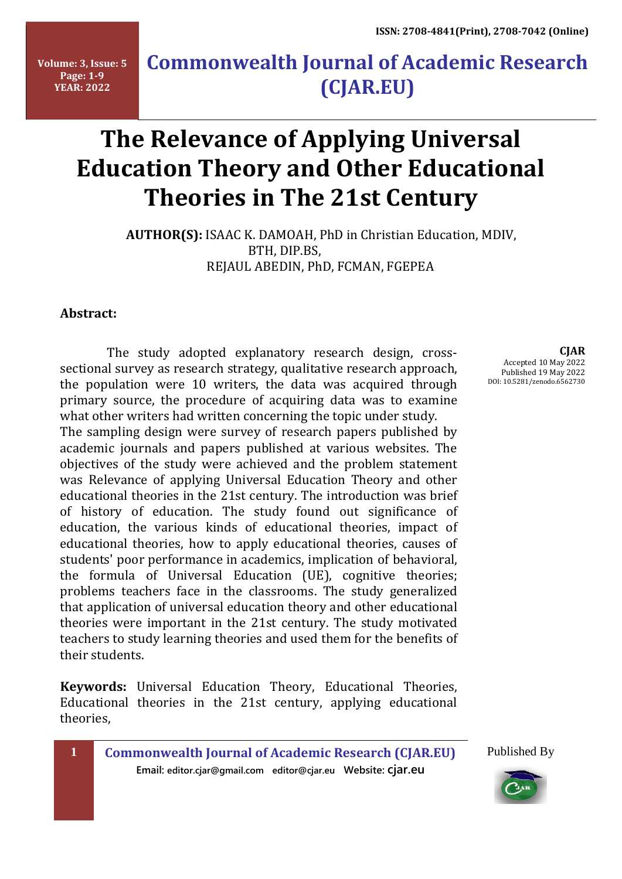**Volume: 3, Issue: 5 Page: 1-9 YEAR: 2022**

## **Commonwealth Journal of Academic Research (CJAR.EU)**

# **The Relevance of Applying Universal Education Theory and Other Educational Theories in The 21st Century**

 **AUTHOR(S):** ISAAC K. DAMOAH, PhD in Christian Education, MDIV, BTH, DIP.BS, REJAUL ABEDIN, PhD, FCMAN, FGEPEA

#### **Abstract:**

 The study adopted explanatory research design, crosssectional survey as research strategy, qualitative research approach, the population were 10 writers, the data was acquired through primary source, the procedure of acquiring data was to examine what other writers had written concerning the topic under study.

The sampling design were survey of research papers published by academic journals and papers published at various websites. The objectives of the study were achieved and the problem statement was Relevance of applying Universal Education Theory and other educational theories in the 21st century. The introduction was brief of history of education. The study found out significance of education, the various kinds of educational theories, impact of educational theories, how to apply educational theories, causes of students' poor performance in academics, implication of behavioral, the formula of Universal Education (UE), cognitive theories; problems teachers face in the classrooms. The study generalized that application of universal education theory and other educational theories were important in the 21st century. The study motivated teachers to study learning theories and used them for the benefits of their students.

**Keywords:** Universal Education Theory, Educational Theories, Educational theories in the 21st century, applying educational theories,

**Email: editor.cjar@gmail.com editor@cjar.eu Website: cjar.eu**

**CJAR** Accepted 10 May 2022 Published 19 May 2022 DOI: 10.5281/zenodo.6562730

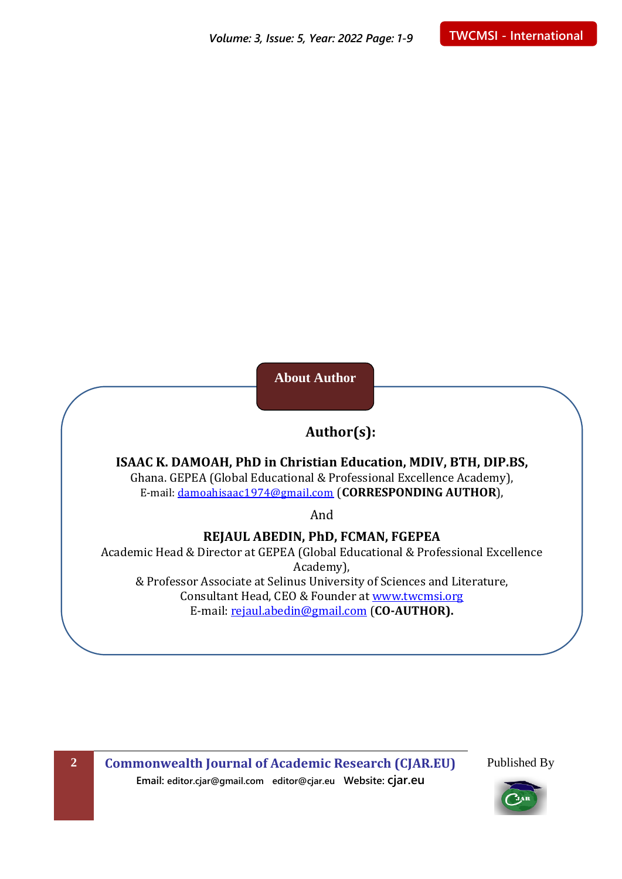**About Author**

### **Author(s):**

**ISAAC K. DAMOAH, PhD in Christian Education, MDIV, BTH, DIP.BS,** Ghana. GEPEA (Global Educational & Professional Excellence Academy), E-mail: [damoahisaac1974@gmail.com](mailto:damoahisaac1974@gmail.com) (**CORRESPONDING AUTHOR**),

And

**REJAUL ABEDIN, PhD, FCMAN, FGEPEA**

Academic Head & Director at GEPEA (Global Educational & Professional Excellence Academy), & Professor Associate at Selinus University of Sciences and Literature, Consultant Head, CEO & Founder at [www.twcmsi.org](http://www.twcmsi.org/) E-mail: [rejaul.abedin@gmail.com](mailto:rejaul.abedin@gmail.com) (**CO-AUTHOR).**

**2 Commonwealth Journal of Academic Research (CJAR.EU) Email: editor.cjar@gmail.com editor@cjar.eu Website: cjar.eu**

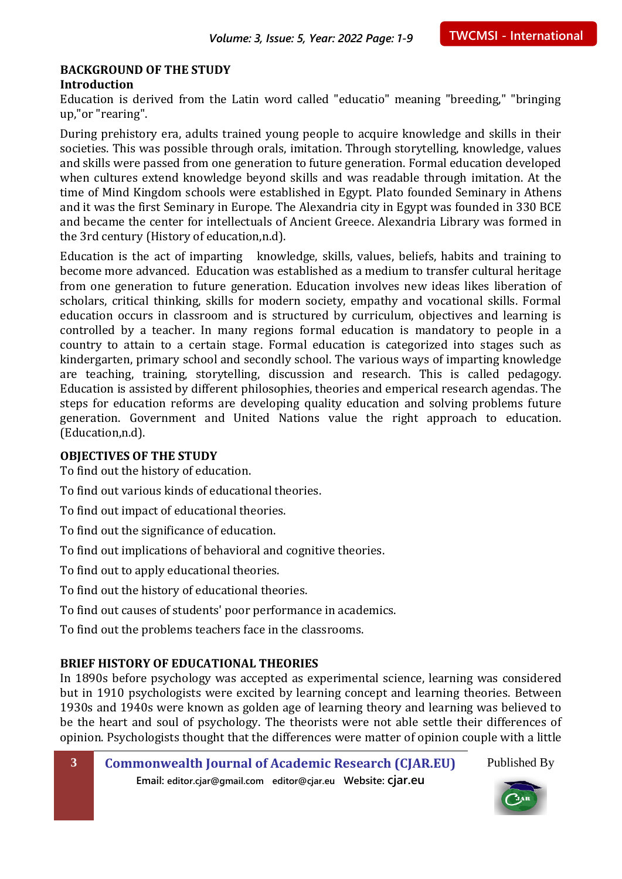#### **BACKGROUND OF THE STUDY Introduction**

Education is derived from the Latin word called "educatio" meaning "breeding," "bringing up,"or "rearing".

During prehistory era, adults trained young people to acquire knowledge and skills in their societies. This was possible through orals, imitation. Through storytelling, knowledge, values and skills were passed from one generation to future generation. Formal education developed when cultures extend knowledge beyond skills and was readable through imitation. At the time of Mind Kingdom schools were established in Egypt. Plato founded Seminary in Athens and it was the first Seminary in Europe. The Alexandria city in Egypt was founded in 330 BCE and became the center for intellectuals of Ancient Greece. Alexandria Library was formed in the 3rd century (History of education,n.d).

Education is the act of imparting knowledge, skills, values, beliefs, habits and training to become more advanced. Education was established as a medium to transfer cultural heritage from one generation to future generation. Education involves new ideas likes liberation of scholars, critical thinking, skills for modern society, empathy and vocational skills. Formal education occurs in classroom and is structured by curriculum, objectives and learning is controlled by a teacher. In many regions formal education is mandatory to people in a country to attain to a certain stage. Formal education is categorized into stages such as kindergarten, primary school and secondly school. The various ways of imparting knowledge are teaching, training, storytelling, discussion and research. This is called pedagogy. Education is assisted by different philosophies, theories and emperical research agendas. The steps for education reforms are developing quality education and solving problems future generation. Government and United Nations value the right approach to education. (Education,n.d).

#### **OBJECTIVES OF THE STUDY**

To find out the history of education.

To find out various kinds of educational theories.

To find out impact of educational theories.

To find out the significance of education.

To find out implications of behavioral and cognitive theories.

To find out to apply educational theories.

To find out the history of educational theories.

To find out causes of students' poor performance in academics.

To find out the problems teachers face in the classrooms.

#### **BRIEF HISTORY OF EDUCATIONAL THEORIES**

In 1890s before psychology was accepted as experimental science, learning was considered but in 1910 psychologists were excited by learning concept and learning theories. Between 1930s and 1940s were known as golden age of learning theory and learning was believed to be the heart and soul of psychology. The theorists were not able settle their differences of opinion. Psychologists thought that the differences were matter of opinion couple with a little

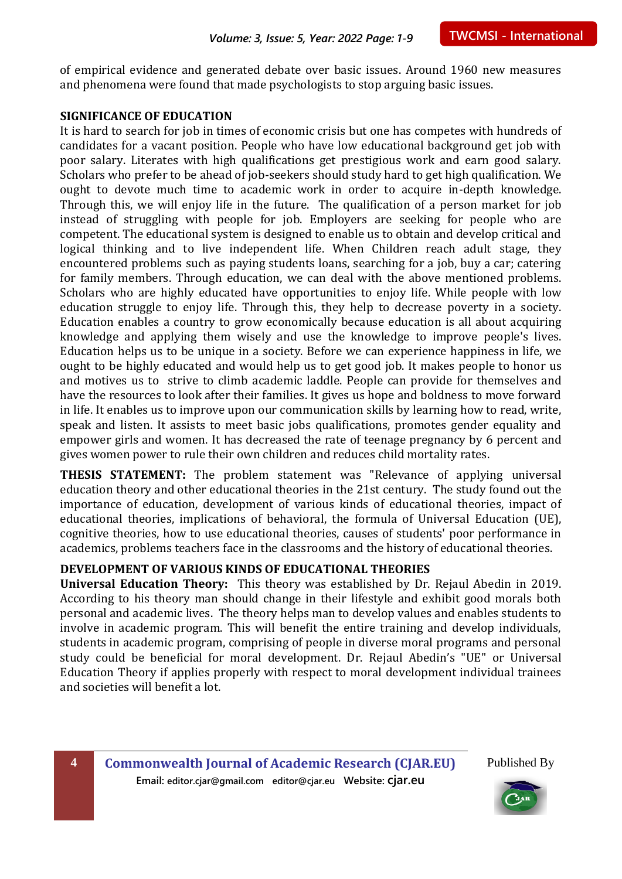of empirical evidence and generated debate over basic issues. Around 1960 new measures and phenomena were found that made psychologists to stop arguing basic issues.

#### **SIGNIFICANCE OF EDUCATION**

It is hard to search for job in times of economic crisis but one has competes with hundreds of candidates for a vacant position. People who have low educational background get job with poor salary. Literates with high qualifications get prestigious work and earn good salary. Scholars who prefer to be ahead of job-seekers should study hard to get high qualification. We ought to devote much time to academic work in order to acquire in-depth knowledge. Through this, we will enjoy life in the future. The qualification of a person market for job instead of struggling with people for job. Employers are seeking for people who are competent. The educational system is designed to enable us to obtain and develop critical and logical thinking and to live independent life. When Children reach adult stage, they encountered problems such as paying students loans, searching for a job, buy a car; catering for family members. Through education, we can deal with the above mentioned problems. Scholars who are highly educated have opportunities to enjoy life. While people with low education struggle to enjoy life. Through this, they help to decrease poverty in a society. Education enables a country to grow economically because education is all about acquiring knowledge and applying them wisely and use the knowledge to improve people's lives. Education helps us to be unique in a society. Before we can experience happiness in life, we ought to be highly educated and would help us to get good job. It makes people to honor us and motives us to strive to climb academic laddle. People can provide for themselves and have the resources to look after their families. It gives us hope and boldness to move forward in life. It enables us to improve upon our communication skills by learning how to read, write, speak and listen. It assists to meet basic jobs qualifications, promotes gender equality and empower girls and women. It has decreased the rate of teenage pregnancy by 6 percent and gives women power to rule their own children and reduces child mortality rates.

**THESIS STATEMENT:** The problem statement was "Relevance of applying universal education theory and other educational theories in the 21st century. The study found out the importance of education, development of various kinds of educational theories, impact of educational theories, implications of behavioral, the formula of Universal Education (UE), cognitive theories, how to use educational theories, causes of students' poor performance in academics, problems teachers face in the classrooms and the history of educational theories.

#### **DEVELOPMENT OF VARIOUS KINDS OF EDUCATIONAL THEORIES**

**Universal Education Theory:** This theory was established by Dr. Rejaul Abedin in 2019. According to his theory man should change in their lifestyle and exhibit good morals both personal and academic lives. The theory helps man to develop values and enables students to involve in academic program. This will benefit the entire training and develop individuals, students in academic program, comprising of people in diverse moral programs and personal study could be beneficial for moral development. Dr. Rejaul Abedin's "UE" or Universal Education Theory if applies properly with respect to moral development individual trainees and societies will benefit a lot.



**4 Commonwealth Journal of Academic Research (CJAR.EU) Email: editor.cjar@gmail.com editor@cjar.eu Website: cjar.eu**

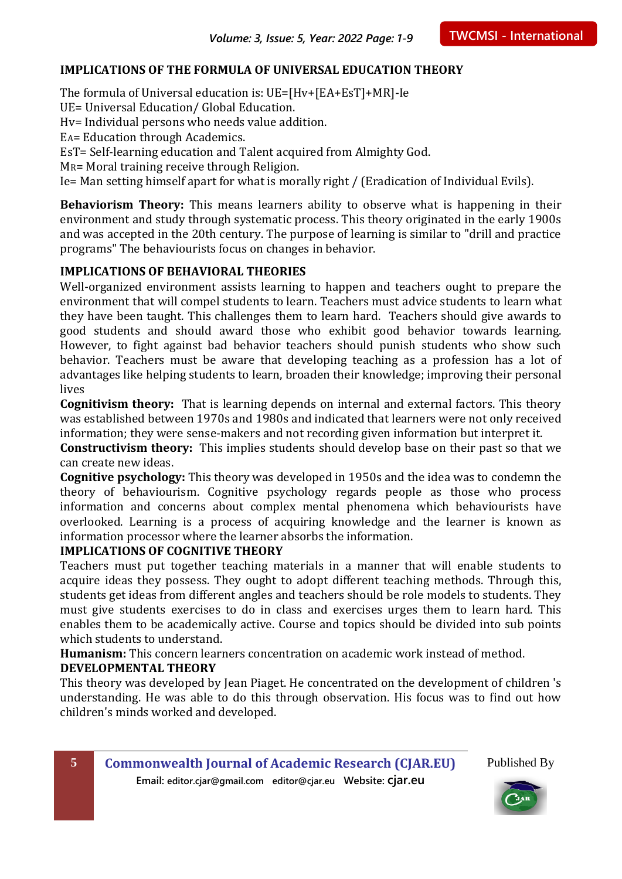#### **IMPLICATIONS OF THE FORMULA OF UNIVERSAL EDUCATION THEORY**

The formula of Universal education is: UE=[Hv+[EA+EsT]+MR]-Ie

UE= Universal Education/ Global Education.

Hv= Individual persons who needs value addition.

EA= Education through Academics.

EsT= Self-learning education and Talent acquired from Almighty God.

MR= Moral training receive through Religion.

Ie= Man setting himself apart for what is morally right / (Eradication of Individual Evils).

**Behaviorism Theory:** This means learners ability to observe what is happening in their environment and study through systematic process. This theory originated in the early 1900s and was accepted in the 20th century. The purpose of learning is similar to "drill and practice programs" The behaviourists focus on changes in behavior.

#### **IMPLICATIONS OF BEHAVIORAL THEORIES**

Well-organized environment assists learning to happen and teachers ought to prepare the environment that will compel students to learn. Teachers must advice students to learn what they have been taught. This challenges them to learn hard. Teachers should give awards to good students and should award those who exhibit good behavior towards learning. However, to fight against bad behavior teachers should punish students who show such behavior. Teachers must be aware that developing teaching as a profession has a lot of advantages like helping students to learn, broaden their knowledge; improving their personal lives

**Cognitivism theory:** That is learning depends on internal and external factors. This theory was established between 1970s and 1980s and indicated that learners were not only received information; they were sense-makers and not recording given information but interpret it.

**Constructivism theory:** This implies students should develop base on their past so that we can create new ideas.

**Cognitive psychology:** This theory was developed in 1950s and the idea was to condemn the theory of behaviourism. Cognitive psychology regards people as those who process information and concerns about complex mental phenomena which behaviourists have overlooked. Learning is a process of acquiring knowledge and the learner is known as information processor where the learner absorbs the information.

#### **IMPLICATIONS OF COGNITIVE THEORY**

Teachers must put together teaching materials in a manner that will enable students to acquire ideas they possess. They ought to adopt different teaching methods. Through this, students get ideas from different angles and teachers should be role models to students. They must give students exercises to do in class and exercises urges them to learn hard. This enables them to be academically active. Course and topics should be divided into sub points which students to understand.

**Humanism:** This concern learners concentration on academic work instead of method.

#### **DEVELOPMENTAL THEORY**

This theory was developed by Jean Piaget. He concentrated on the development of children 's understanding. He was able to do this through observation. His focus was to find out how children's minds worked and developed.

**5 Commonwealth Journal of Academic Research (CJAR.EU) Email: editor.cjar@gmail.com editor@cjar.eu Website: cjar.eu**

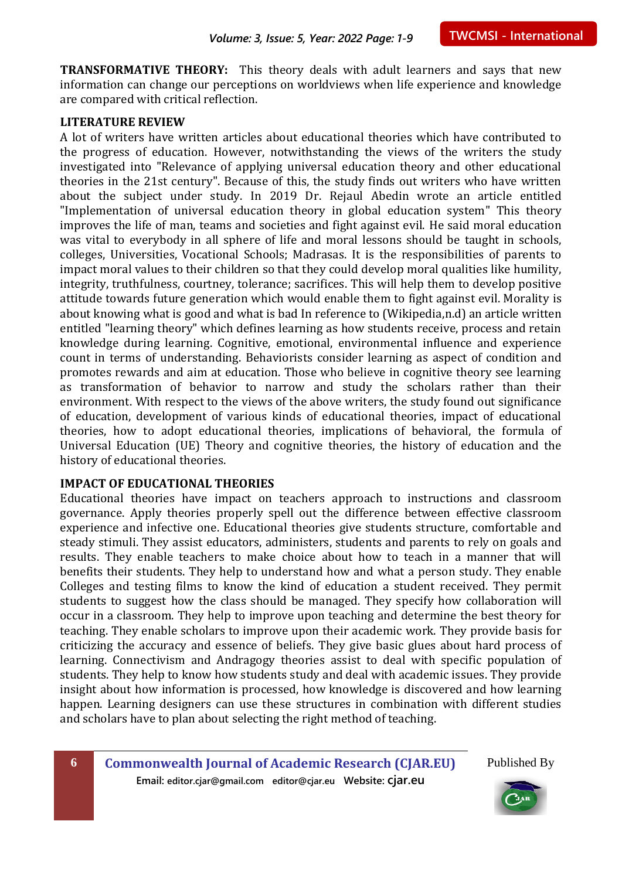**TRANSFORMATIVE THEORY:** This theory deals with adult learners and says that new information can change our perceptions on worldviews when life experience and knowledge are compared with critical reflection.

#### **LITERATURE REVIEW**

A lot of writers have written articles about educational theories which have contributed to the progress of education. However, notwithstanding the views of the writers the study investigated into "Relevance of applying universal education theory and other educational theories in the 21st century". Because of this, the study finds out writers who have written about the subject under study. In 2019 Dr. Rejaul Abedin wrote an article entitled "Implementation of universal education theory in global education system" This theory improves the life of man, teams and societies and fight against evil. He said moral education was vital to everybody in all sphere of life and moral lessons should be taught in schools, colleges, Universities, Vocational Schools; Madrasas. It is the responsibilities of parents to impact moral values to their children so that they could develop moral qualities like humility, integrity, truthfulness, courtney, tolerance; sacrifices. This will help them to develop positive attitude towards future generation which would enable them to fight against evil. Morality is about knowing what is good and what is bad In reference to (Wikipedia,n.d) an article written entitled "learning theory" which defines learning as how students receive, process and retain knowledge during learning. Cognitive, emotional, environmental influence and experience count in terms of understanding. Behaviorists consider learning as aspect of condition and promotes rewards and aim at education. Those who believe in cognitive theory see learning as transformation of behavior to narrow and study the scholars rather than their environment. With respect to the views of the above writers, the study found out significance of education, development of various kinds of educational theories, impact of educational theories, how to adopt educational theories, implications of behavioral, the formula of Universal Education (UE) Theory and cognitive theories, the history of education and the history of educational theories.

#### **IMPACT OF EDUCATIONAL THEORIES**

Educational theories have impact on teachers approach to instructions and classroom governance. Apply theories properly spell out the difference between effective classroom experience and infective one. Educational theories give students structure, comfortable and steady stimuli. They assist educators, administers, students and parents to rely on goals and results. They enable teachers to make choice about how to teach in a manner that will benefits their students. They help to understand how and what a person study. They enable Colleges and testing films to know the kind of education a student received. They permit students to suggest how the class should be managed. They specify how collaboration will occur in a classroom. They help to improve upon teaching and determine the best theory for teaching. They enable scholars to improve upon their academic work. They provide basis for criticizing the accuracy and essence of beliefs. They give basic glues about hard process of learning. Connectivism and Andragogy theories assist to deal with specific population of students. They help to know how students study and deal with academic issues. They provide insight about how information is processed, how knowledge is discovered and how learning happen. Learning designers can use these structures in combination with different studies and scholars have to plan about selecting the right method of teaching.

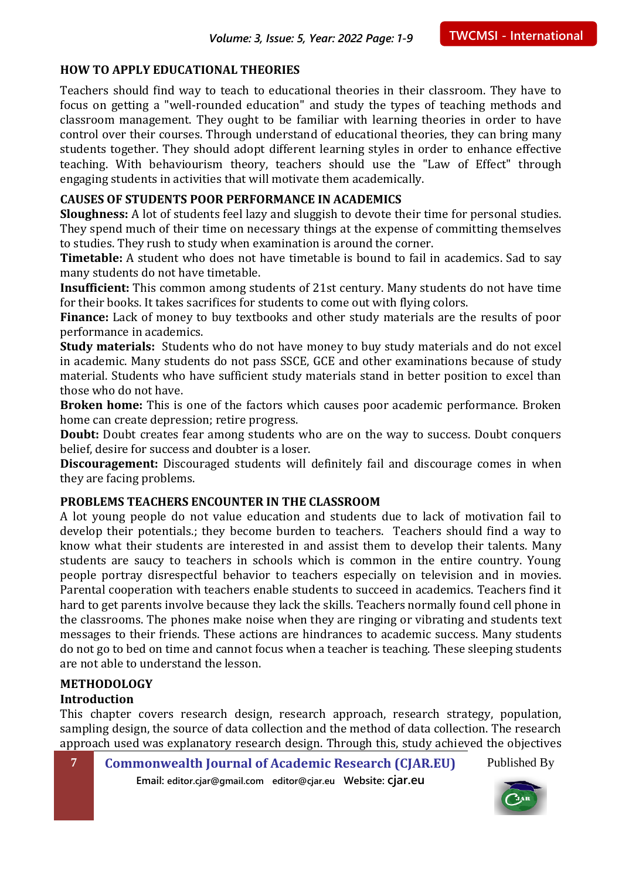#### **HOW TO APPLY EDUCATIONAL THEORIES**

Teachers should find way to teach to educational theories in their classroom. They have to focus on getting a "well-rounded education" and study the types of teaching methods and classroom management. They ought to be familiar with learning theories in order to have control over their courses. Through understand of educational theories, they can bring many students together. They should adopt different learning styles in order to enhance effective teaching. With behaviourism theory, teachers should use the "Law of Effect" through engaging students in activities that will motivate them academically.

#### **CAUSES OF STUDENTS POOR PERFORMANCE IN ACADEMICS**

**Sloughness:** A lot of students feel lazy and sluggish to devote their time for personal studies. They spend much of their time on necessary things at the expense of committing themselves to studies. They rush to study when examination is around the corner.

**Timetable:** A student who does not have timetable is bound to fail in academics. Sad to say many students do not have timetable.

**Insufficient:** This common among students of 21st century. Many students do not have time for their books. It takes sacrifices for students to come out with flying colors.

**Finance:** Lack of money to buy textbooks and other study materials are the results of poor performance in academics.

**Study materials:** Students who do not have money to buy study materials and do not excel in academic. Many students do not pass SSCE, GCE and other examinations because of study material. Students who have sufficient study materials stand in better position to excel than those who do not have.

**Broken home:** This is one of the factors which causes poor academic performance. Broken home can create depression; retire progress.

**Doubt:** Doubt creates fear among students who are on the way to success. Doubt conquers belief, desire for success and doubter is a loser.

**Discouragement:** Discouraged students will definitely fail and discourage comes in when they are facing problems.

#### **PROBLEMS TEACHERS ENCOUNTER IN THE CLASSROOM**

A lot young people do not value education and students due to lack of motivation fail to develop their potentials.; they become burden to teachers. Teachers should find a way to know what their students are interested in and assist them to develop their talents. Many students are saucy to teachers in schools which is common in the entire country. Young people portray disrespectful behavior to teachers especially on television and in movies. Parental cooperation with teachers enable students to succeed in academics. Teachers find it hard to get parents involve because they lack the skills. Teachers normally found cell phone in the classrooms. The phones make noise when they are ringing or vibrating and students text messages to their friends. These actions are hindrances to academic success. Many students do not go to bed on time and cannot focus when a teacher is teaching. These sleeping students are not able to understand the lesson.

#### **METHODOLOGY**

#### **Introduction**

This chapter covers research design, research approach, research strategy, population, sampling design, the source of data collection and the method of data collection. The research approach used was explanatory research design. Through this, study achieved the objectives

**7 Commonwealth Journal of Academic Research (CJAR.EU) Email: editor.cjar@gmail.com editor@cjar.eu Website: cjar.eu** Published By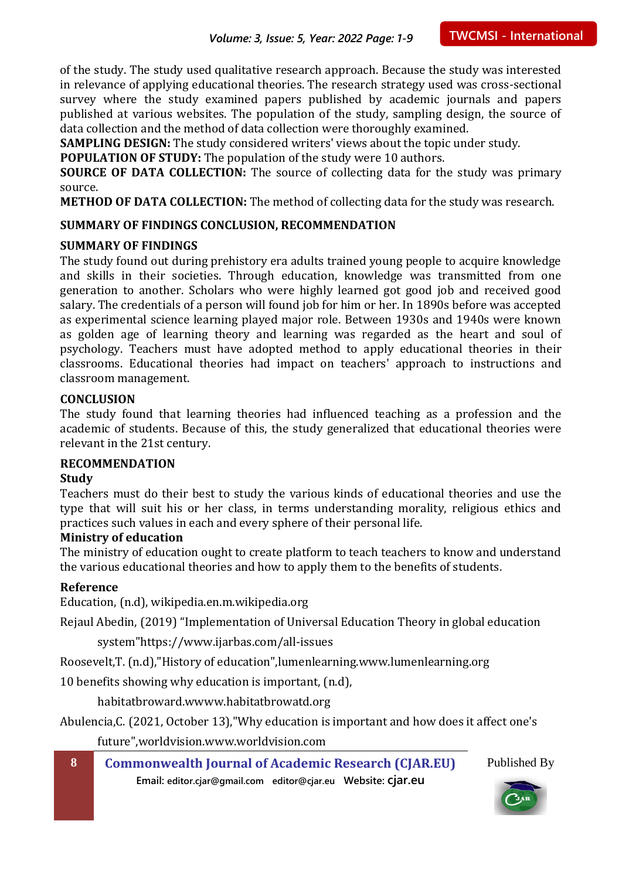of the study. The study used qualitative research approach. Because the study was interested in relevance of applying educational theories. The research strategy used was cross-sectional survey where the study examined papers published by academic journals and papers published at various websites. The population of the study, sampling design, the source of data collection and the method of data collection were thoroughly examined.

**SAMPLING DESIGN:** The study considered writers' views about the topic under study.

**POPULATION OF STUDY:** The population of the study were 10 authors.

**SOURCE OF DATA COLLECTION:** The source of collecting data for the study was primary source.

**METHOD OF DATA COLLECTION:** The method of collecting data for the study was research.

#### **SUMMARY OF FINDINGS CONCLUSION, RECOMMENDATION**

#### **SUMMARY OF FINDINGS**

The study found out during prehistory era adults trained young people to acquire knowledge and skills in their societies. Through education, knowledge was transmitted from one generation to another. Scholars who were highly learned got good job and received good salary. The credentials of a person will found job for him or her. In 1890s before was accepted as experimental science learning played major role. Between 1930s and 1940s were known as golden age of learning theory and learning was regarded as the heart and soul of psychology. Teachers must have adopted method to apply educational theories in their classrooms. Educational theories had impact on teachers' approach to instructions and classroom management.

#### **CONCLUSION**

The study found that learning theories had influenced teaching as a profession and the academic of students. Because of this, the study generalized that educational theories were relevant in the 21st century.

#### **RECOMMENDATION**

#### **Study**

Teachers must do their best to study the various kinds of educational theories and use the type that will suit his or her class, in terms understanding morality, religious ethics and practices such values in each and every sphere of their personal life.

#### **Ministry of education**

The ministry of education ought to create platform to teach teachers to know and understand the various educational theories and how to apply them to the benefits of students.

#### **Reference**

Education, (n.d), wikipedia.en.m.wikipedia.org

Rejaul Abedin, (2019) "Implementation of Universal Education Theory in global education

system"https://www.ijarbas.com/all-issues

Roosevelt,T. (n.d),"History of education",lumenlearning.www.lumenlearning.org

10 benefits showing why education is important, (n.d),

habitatbroward.wwww.habitatbrowatd.org

Abulencia,C. (2021, October 13),"Why education is important and how does it affect one's

future",worldvision.www.worldvision.com

**8 Commonwealth Journal of Academic Research (CJAR.EU) Email: editor.cjar@gmail.com editor@cjar.eu Website: cjar.eu**